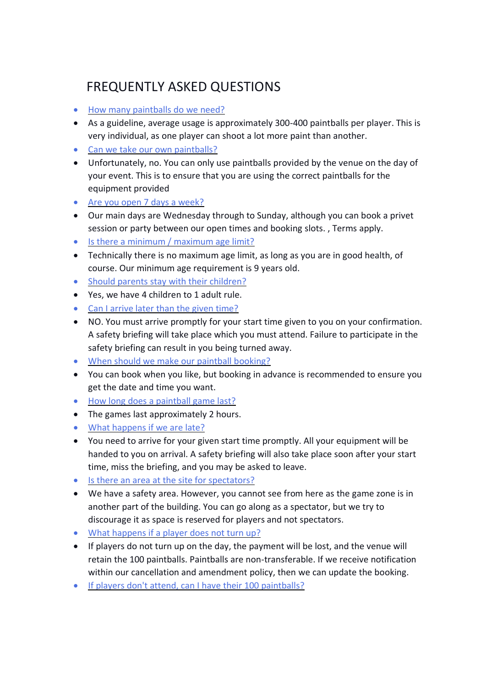## FREQUENTLY ASKED QUESTIONS

- [How many paintballs do we need?](https://www.paintballing.co.uk/faqs.html#faq1)
- As a guideline, average usage is approximately 300-400 paintballs per player. This is very individual, as one player can shoot a lot more paint than another.
- [Can we take our own paintballs?](https://www.paintballing.co.uk/faqs.html#faq2)
- Unfortunately, no. You can only use paintballs provided by the venue on the day of your event. This is to ensure that you are using the correct paintballs for the equipment provided
- [Are you open 7 days a week?](https://www.paintballing.co.uk/faqs.html#faq3)
- Our main days are Wednesday through to Sunday, although you can book a privet session or party between our open times and booking slots. , Terms apply.
- [Is there a minimum / maximum age limit?](https://www.paintballing.co.uk/faqs.html#faq4)
- Technically there is no maximum age limit, as long as you are in good health, of course. Our minimum age requirement is 9 years old.
- [Should parents stay with their children?](https://www.paintballing.co.uk/faqs.html#faq5)
- Yes, we have 4 children to 1 adult rule.
- [Can I arrive later than the given time?](https://www.paintballing.co.uk/faqs.html#faq6)
- NO. You must arrive promptly for your start time given to you on your confirmation. A safety briefing will take place which you must attend. Failure to participate in the safety briefing can result in you being turned away.
- [When should we make our paintball booking?](https://www.paintballing.co.uk/faqs.html#faq7)
- You can book when you like, but booking in advance is recommended to ensure you get the date and time you want.
- [How long does a paintball game last?](https://www.paintballing.co.uk/faqs.html#faq8)
- The games last approximately 2 hours.
- [What happens if we are late?](https://www.paintballing.co.uk/faqs.html#faq9)
- You need to arrive for your given start time promptly. All your equipment will be handed to you on arrival. A safety briefing will also take place soon after your start time, miss the briefing, and you may be asked to leave.
- [Is there an area at the site for spectators?](https://www.paintballing.co.uk/faqs.html#faq11)
- We have a safety area. However, you cannot see from here as the game zone is in another part of the building. You can go along as a spectator, but we try to discourage it as space is reserved for players and not spectators.
- [What happens if a player does not turn up?](https://www.paintballing.co.uk/faqs.html#faq12)
- If players do not turn up on the day, the payment will be lost, and the venue will retain the 100 paintballs. Paintballs are non-transferable. If we receive notification within our cancellation and amendment policy, then we can update the booking.
- [If players don't attend, can I have their 100 paintballs?](https://www.paintballing.co.uk/faqs.html#faq13)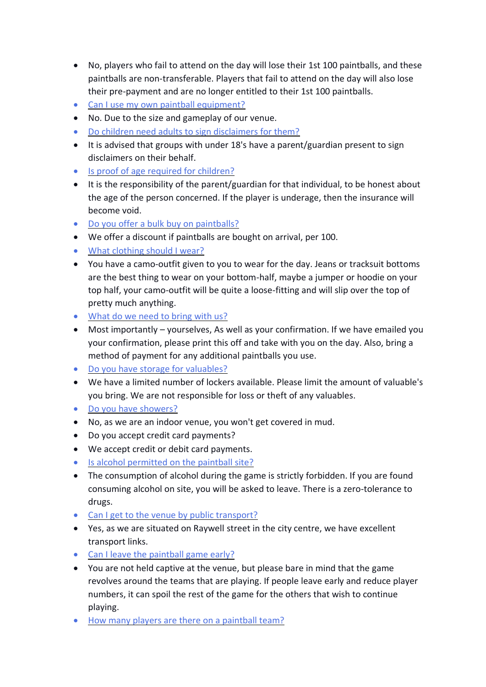- No, players who fail to attend on the day will lose their 1st 100 paintballs, and these paintballs are non-transferable. Players that fail to attend on the day will also lose their pre-payment and are no longer entitled to their 1st 100 paintballs.
- [Can I use my own paintball equipment?](https://www.paintballing.co.uk/faqs.html#faq14)
- No. Due to the size and gameplay of our venue.
- [Do children need adults to sign disclaimers for them?](https://www.paintballing.co.uk/faqs.html#faq15)
- It is advised that groups with under 18's have a parent/guardian present to sign disclaimers on their behalf.
- [Is proof of age required for children?](https://www.paintballing.co.uk/faqs.html#faq16)
- It is the responsibility of the parent/guardian for that individual, to be honest about the age of the person concerned. If the player is underage, then the insurance will become void.
- [Do you offer a bulk buy on paintballs?](https://www.paintballing.co.uk/faqs.html#faq17)
- We offer a discount if paintballs are bought on arrival, per 100.
- [What clothing should I wear?](https://www.paintballing.co.uk/faqs.html#faq18)
- You have a camo-outfit given to you to wear for the day. Jeans or tracksuit bottoms are the best thing to wear on your bottom-half, maybe a jumper or hoodie on your top half, your camo-outfit will be quite a loose-fitting and will slip over the top of pretty much anything.
- [What do we need to bring with us?](https://www.paintballing.co.uk/faqs.html#faq19)
- Most importantly yourselves, As well as your confirmation. If we have emailed you your confirmation, please print this off and take with you on the day. Also, bring a method of payment for any additional paintballs you use.
- [Do you have storage for valuables?](https://www.paintballing.co.uk/faqs.html#faq20)
- We have a limited number of lockers available. Please limit the amount of valuable's you bring. We are not responsible for loss or theft of any valuables.
- [Do you have showers?](https://www.paintballing.co.uk/faqs.html#faq21)
- No, as we are an indoor venue, you won't get covered in mud.
- Do you accept credit card payments?
- We accept credit or debit card payments.
- [Is alcohol permitted on the paintball site?](https://www.paintballing.co.uk/faqs.html#faq24)
- The consumption of alcohol during the game is strictly forbidden. If you are found consuming alcohol on site, you will be asked to leave. There is a zero-tolerance to drugs.
- [Can I get to the venue by public transport?](https://www.paintballing.co.uk/faqs.html#faq25)
- Yes, as we are situated on Raywell street in the city centre, we have excellent transport links.
- [Can I leave the paintball game early?](https://www.paintballing.co.uk/faqs.html#faq26)
- You are not held captive at the venue, but please bare in mind that the game revolves around the teams that are playing. If people leave early and reduce player numbers, it can spoil the rest of the game for the others that wish to continue playing.
- [How many players are there on a paintball team?](https://www.paintballing.co.uk/faqs.html#faq27)